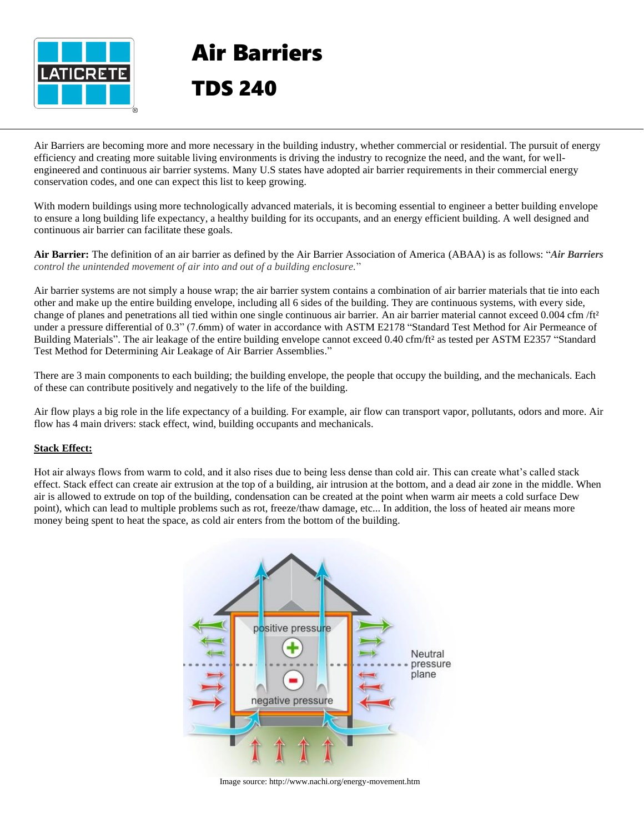

# Air Barriers TDS 240

Air Barriers are becoming more and more necessary in the building industry, whether commercial or residential. The pursuit of energy efficiency and creating more suitable living environments is driving the industry to recognize the need, and the want, for wellengineered and continuous air barrier systems. Many U.S states have adopted air barrier requirements in their commercial energy conservation codes, and one can expect this list to keep growing.

With modern buildings using more technologically advanced materials, it is becoming essential to engineer a better building envelope to ensure a long building life expectancy, a healthy building for its occupants, and an energy efficient building. A well designed and continuous air barrier can facilitate these goals.

**Air Barrier:** The definition of an air barrier as defined by the Air Barrier Association of America (ABAA) is as follows: "*Air Barriers control the unintended movement of air into and out of a building enclosure.*"

Air barrier systems are not simply a house wrap; the air barrier system contains a combination of air barrier materials that tie into each other and make up the entire building envelope, including all 6 sides of the building. They are continuous systems, with every side, change of planes and penetrations all tied within one single continuous air barrier. An air barrier material cannot exceed 0.004 cfm/ft<sup>2</sup> under a pressure differential of 0.3" (7.6mm) of water in accordance with ASTM E2178 "Standard Test Method for Air Permeance of Building Materials". The air leakage of the entire building envelope cannot exceed 0.40 cfm/ft² as tested per ASTM E2357 "Standard Test Method for Determining Air Leakage of Air Barrier Assemblies."

There are 3 main components to each building; the building envelope, the people that occupy the building, and the mechanicals. Each of these can contribute positively and negatively to the life of the building.

Air flow plays a big role in the life expectancy of a building. For example, air flow can transport vapor, pollutants, odors and more. Air flow has 4 main drivers: stack effect, wind, building occupants and mechanicals.

## **Stack Effect:**

Hot air always flows from warm to cold, and it also rises due to being less dense than cold air. This can create what's called stack effect. Stack effect can create air extrusion at the top of a building, air intrusion at the bottom, and a dead air zone in the middle. When air is allowed to extrude on top of the building, condensation can be created at the point when warm air meets a cold surface Dew point), which can lead to multiple problems such as rot, freeze/thaw damage, etc... In addition, the loss of heated air means more money being spent to heat the space, as cold air enters from the bottom of the building.



Image source: http://www.nachi.org/energy-movement.htm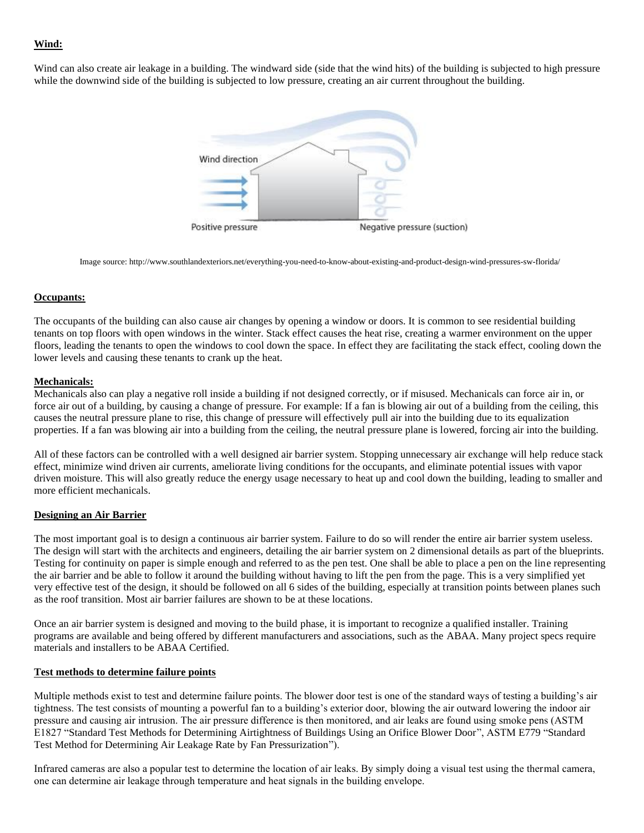# **Wind:**

Wind can also create air leakage in a building. The windward side (side that the wind hits) of the building is subjected to high pressure while the downwind side of the building is subjected to low pressure, creating an air current throughout the building.



Image source: http://www.southlandexteriors.net/everything-you-need-to-know-about-existing-and-product-design-wind-pressures-sw-florida/

#### **Occupants:**

The occupants of the building can also cause air changes by opening a window or doors. It is common to see residential building tenants on top floors with open windows in the winter. Stack effect causes the heat rise, creating a warmer environment on the upper floors, leading the tenants to open the windows to cool down the space. In effect they are facilitating the stack effect, cooling down the lower levels and causing these tenants to crank up the heat.

#### **Mechanicals:**

Mechanicals also can play a negative roll inside a building if not designed correctly, or if misused. Mechanicals can force air in, or force air out of a building, by causing a change of pressure. For example: If a fan is blowing air out of a building from the ceiling, this causes the neutral pressure plane to rise, this change of pressure will effectively pull air into the building due to its equalization properties. If a fan was blowing air into a building from the ceiling, the neutral pressure plane is lowered, forcing air into the building.

All of these factors can be controlled with a well designed air barrier system. Stopping unnecessary air exchange will help reduce stack effect, minimize wind driven air currents, ameliorate living conditions for the occupants, and eliminate potential issues with vapor driven moisture. This will also greatly reduce the energy usage necessary to heat up and cool down the building, leading to smaller and more efficient mechanicals.

## **Designing an Air Barrier**

The most important goal is to design a continuous air barrier system. Failure to do so will render the entire air barrier system useless. The design will start with the architects and engineers, detailing the air barrier system on 2 dimensional details as part of the blueprints. Testing for continuity on paper is simple enough and referred to as the pen test. One shall be able to place a pen on the line representing the air barrier and be able to follow it around the building without having to lift the pen from the page. This is a very simplified yet very effective test of the design, it should be followed on all 6 sides of the building, especially at transition points between planes such as the roof transition. Most air barrier failures are shown to be at these locations.

Once an air barrier system is designed and moving to the build phase, it is important to recognize a qualified installer. Training programs are available and being offered by different manufacturers and associations, such as the ABAA. Many project specs require materials and installers to be ABAA Certified.

#### **Test methods to determine failure points**

Multiple methods exist to test and determine failure points. The blower door test is one of the standard ways of testing a building's air tightness. The test consists of mounting a powerful fan to a building's exterior door, blowing the air outward lowering the indoor air pressure and causing air intrusion. The air pressure difference is then monitored, and air leaks are found using smoke pens (ASTM E1827 "Standard Test Methods for Determining Airtightness of Buildings Using an Orifice Blower Door", ASTM E779 "Standard Test Method for Determining Air Leakage Rate by Fan Pressurization").

Infrared cameras are also a popular test to determine the location of air leaks. By simply doing a visual test using the thermal camera, one can determine air leakage through temperature and heat signals in the building envelope.